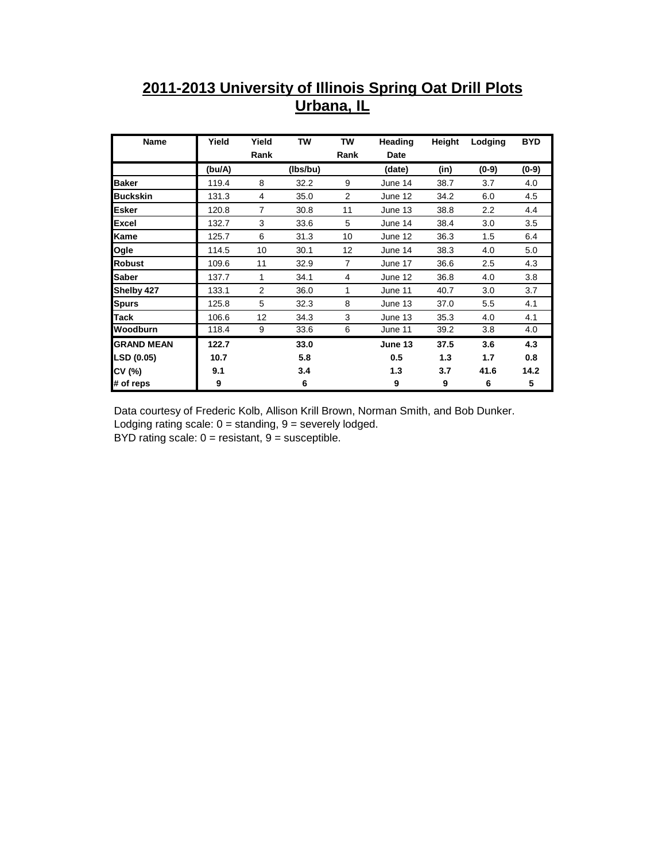## **2011-2013 University of Illinois Spring Oat Drill Plots Urbana, IL**

| Name              | Yield  | Yield          | TW       | TW             | Heading | Height | Lodging | <b>BYD</b> |
|-------------------|--------|----------------|----------|----------------|---------|--------|---------|------------|
|                   |        | Rank           |          | Rank           | Date    |        |         |            |
|                   | (bu/A) |                | (lbs/bu) |                | (date)  | (in)   | $(0-9)$ | $(0-9)$    |
| <b>Baker</b>      | 119.4  | 8              | 32.2     | 9              | June 14 | 38.7   | 3.7     | 4.0        |
| <b>Buckskin</b>   | 131.3  | 4              | 35.0     | 2              | June 12 | 34.2   | 6.0     | 4.5        |
| <b>Esker</b>      | 120.8  | $\overline{7}$ | 30.8     | 11             | June 13 | 38.8   | 2.2     | 4.4        |
| <b>Excel</b>      | 132.7  | 3              | 33.6     | 5              | June 14 | 38.4   | 3.0     | 3.5        |
| <b>Kame</b>       | 125.7  | 6              | 31.3     | 10             | June 12 | 36.3   | 1.5     | 6.4        |
| Ogle              | 114.5  | 10             | 30.1     | 12             | June 14 | 38.3   | 4.0     | 5.0        |
| <b>Robust</b>     | 109.6  | 11             | 32.9     | $\overline{7}$ | June 17 | 36.6   | 2.5     | 4.3        |
| Saber             | 137.7  | 1              | 34.1     | 4              | June 12 | 36.8   | 4.0     | 3.8        |
| Shelby 427        | 133.1  | $\overline{2}$ | 36.0     | 1              | June 11 | 40.7   | 3.0     | 3.7        |
| <b>Spurs</b>      | 125.8  | 5              | 32.3     | 8              | June 13 | 37.0   | 5.5     | 4.1        |
| <b>Tack</b>       | 106.6  | 12             | 34.3     | 3              | June 13 | 35.3   | 4.0     | 4.1        |
| Woodburn          | 118.4  | 9              | 33.6     | 6              | June 11 | 39.2   | 3.8     | 4.0        |
| <b>GRAND MEAN</b> | 122.7  |                | 33.0     |                | June 13 | 37.5   | 3.6     | 4.3        |
| LSD (0.05)        | 10.7   |                | 5.8      |                | 0.5     | 1.3    | 1.7     | 0.8        |
| CV (%)            | 9.1    |                | 3.4      |                | 1.3     | 3.7    | 41.6    | 14.2       |
| # of reps         | 9      |                | 6        |                | 9       | 9      | 6       | 5          |

Data courtesy of Frederic Kolb, Allison Krill Brown, Norman Smith, and Bob Dunker. Lodging rating scale:  $0 =$  standing,  $9 =$  severely lodged. BYD rating scale:  $0 =$  resistant,  $9 =$  susceptible.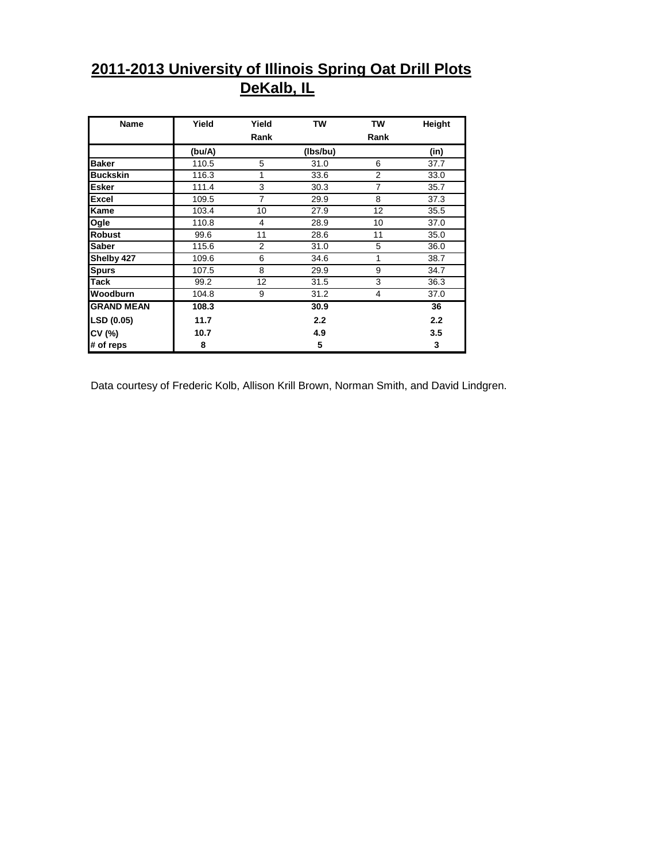## **2011-2013 University of Illinois Spring Oat Drill Plots DeKalb, IL**

| Name              | Yield  | Yield          | <b>TW</b> | TW             | Height |
|-------------------|--------|----------------|-----------|----------------|--------|
|                   |        | Rank           |           | Rank           |        |
|                   | (bu/A) |                | (Ibs/bu)  |                | (in)   |
| <b>Baker</b>      | 110.5  | 5              | 31.0      | 6              | 37.7   |
| <b>Buckskin</b>   | 116.3  | 1              | 33.6      | 2              | 33.0   |
| <b>Esker</b>      | 111.4  | 3              | 30.3      | $\overline{7}$ | 35.7   |
| <b>Excel</b>      | 109.5  | 7              | 29.9      | 8              | 37.3   |
| <b>Kame</b>       | 103.4  | 10             | 27.9      | 12             | 35.5   |
| Ogle              | 110.8  | 4              | 28.9      | 10             | 37.0   |
| <b>Robust</b>     | 99.6   | 11             | 28.6      | 11             | 35.0   |
| <b>Saber</b>      | 115.6  | $\overline{2}$ | 31.0      | 5              | 36.0   |
| Shelby 427        | 109.6  | 6              | 34.6      | 1              | 38.7   |
| <b>Spurs</b>      | 107.5  | 8              | 29.9      | 9              | 34.7   |
| <b>Tack</b>       | 99.2   | 12             | 31.5      | 3              | 36.3   |
| Woodburn          | 104.8  | 9              | 31.2      | 4              | 37.0   |
| <b>GRAND MEAN</b> | 108.3  |                | 30.9      |                | 36     |
| LSD (0.05)        | 11.7   |                | 2.2       |                | 2.2    |
| CV (%)            | 10.7   |                | 4.9       |                | 3.5    |
| # of reps         | 8      |                | 5         |                | 3      |

Data courtesy of Frederic Kolb, Allison Krill Brown, Norman Smith, and David Lindgren.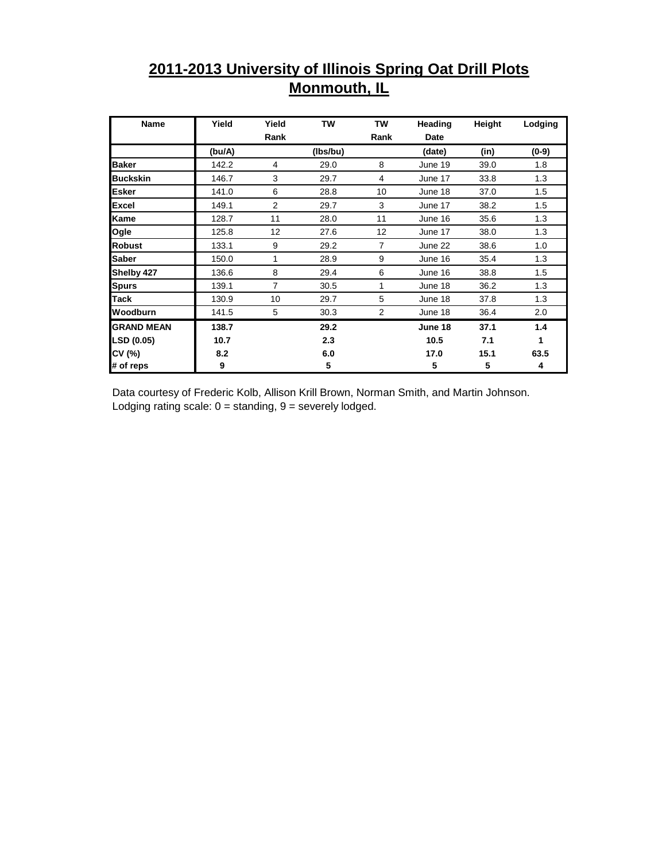## **2011-2013 University of Illinois Spring Oat Drill Plots Monmouth, IL**

| Name              | Yield  | Yield          | TW       | TW             | Heading | Height | Lodging |
|-------------------|--------|----------------|----------|----------------|---------|--------|---------|
|                   |        | Rank           |          | Rank           | Date    |        |         |
|                   | (bu/A) |                | (lbs/bu) |                | (date)  | (in)   | $(0-9)$ |
| <b>Baker</b>      | 142.2  | 4              | 29.0     | 8              | June 19 | 39.0   | 1.8     |
| <b>Buckskin</b>   | 146.7  | 3              | 29.7     | 4              | June 17 | 33.8   | 1.3     |
| <b>Esker</b>      | 141.0  | 6              | 28.8     | 10             | June 18 | 37.0   | 1.5     |
| <b>Excel</b>      | 149.1  | $\overline{2}$ | 29.7     | 3              | June 17 | 38.2   | 1.5     |
| Kame              | 128.7  | 11             | 28.0     | 11             | June 16 | 35.6   | 1.3     |
| Ogle              | 125.8  | 12             | 27.6     | 12             | June 17 | 38.0   | 1.3     |
| <b>Robust</b>     | 133.1  | 9              | 29.2     | 7              | June 22 | 38.6   | 1.0     |
| <b>Saber</b>      | 150.0  | 1              | 28.9     | 9              | June 16 | 35.4   | 1.3     |
| Shelby 427        | 136.6  | 8              | 29.4     | 6              | June 16 | 38.8   | 1.5     |
| <b>Spurs</b>      | 139.1  | $\overline{7}$ | 30.5     | 1              | June 18 | 36.2   | 1.3     |
| <b>Tack</b>       | 130.9  | 10             | 29.7     | 5              | June 18 | 37.8   | 1.3     |
| Woodburn          | 141.5  | 5              | 30.3     | $\overline{2}$ | June 18 | 36.4   | 2.0     |
| <b>GRAND MEAN</b> | 138.7  |                | 29.2     |                | June 18 | 37.1   | 1.4     |
| LSD (0.05)        | 10.7   |                | 2.3      |                | 10.5    | 7.1    | 1       |
| CV (%)            | 8.2    |                | 6.0      |                | 17.0    | 15.1   | 63.5    |
| # of reps         | 9      |                | 5        |                | 5       | 5      | 4       |

Data courtesy of Frederic Kolb, Allison Krill Brown, Norman Smith, and Martin Johnson. Lodging rating scale:  $0 =$  standing,  $9 =$  severely lodged.